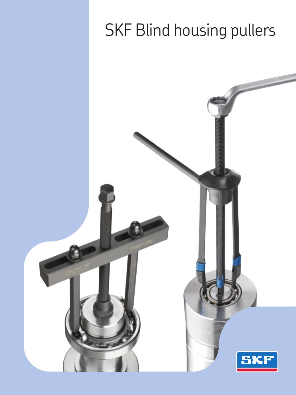# SKF Blind housing pullers

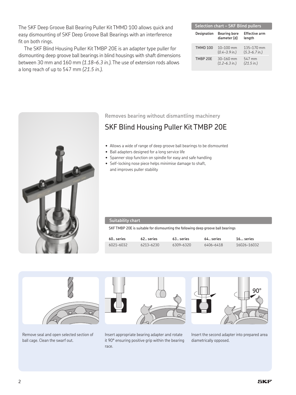The SKF Deep Groove Ball Bearing Puller Kit TMMD 100 allows quick and easy dismounting of SKF Deep Groove Ball Bearings with an interference fit on both rings.

The SKF Blind Housing Puller Kit TMBP 20E is an adapter type puller for dismounting deep groove ball bearings in blind housings with shaft dimensions between 30 mm and 160 mm *(1.18–6.3 in.)*. The use of extension rods allows a long reach of up to 547 mm *(21.5 in.)*.

| Selection chart – SKF Blind pullers |                                            |                                         |  |  |  |  |
|-------------------------------------|--------------------------------------------|-----------------------------------------|--|--|--|--|
| Designation                         | <b>Bearing bore</b><br>diameter (d)        | <b>Effective arm</b><br>length          |  |  |  |  |
| <b>TMMD 100</b>                     | $10 - 100$ mm<br>$(0.4 - 3.9)$ in.)        | 135-170 mm<br>$(5.3 - 6.7 \text{ in.})$ |  |  |  |  |
| TMRP 20F                            | $30 - 160$ mm<br>$(1.2 - 6.3 \text{ in.})$ | 547 mm<br>(21.5 in.)                    |  |  |  |  |



**Removes bearing without dismantling machinery**

## SKF Blind Housing Puller Kit TMBP 20E

- Allows a wide of range of deep groove ball bearings to be dismounted
- Ball adapters designed for a long service life
- Spanner stop function on spindle for easy and safe handling
- Self-locking nose piece helps minimise damage to shaft, and improves puller stability

| Suitability chart                                                                |            |             |            |             |  |
|----------------------------------------------------------------------------------|------------|-------------|------------|-------------|--|
| SKF TMBP 20E is suitable for dismounting the following deep groove ball bearings |            |             |            |             |  |
| $60.$ series                                                                     | 62. series | 63., series | 64. series | $16$ series |  |
| 6021-6032                                                                        | 6213-6230  | 6309-6320   | 6406-6418  | 16026-16032 |  |



Remove seal and open selected section of ball cage. Clean the swarf out.

Insert appropriate bearing adapter and rotate it 90° ensuring positive grip within the bearing race.

Insert the second adapter into prepared area diametrically opposed.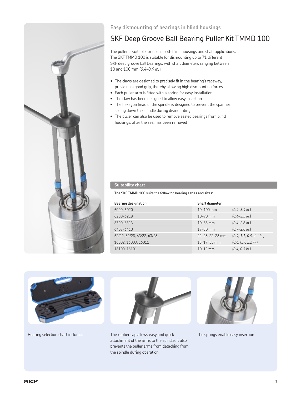

## **Easy dismounting of bearings in blind housings**

## SKF Deep Groove Ball Bearing Puller Kit TMMD 100

The puller is suitable for use in both blind housings and shaft applications. The SKF TMMD 100 is suitable for dismounting up to 71 different SKF deep groove ball bearings, with shaft diameters ranging between 10 and 100 mm *(0.4–3.9 in.)*.

- The claws are designed to precisely fit in the bearing's raceway, providing a good grip, thereby allowing high dismounting forces
- Each puller arm is fitted with a spring for easy installation
- The claw has been designed to allow easy insertion
- The hexagon head of the spindle is designed to prevent the spanner sliding down the spindle during dismounting
- The puller can also be used to remove sealed bearings from blind housings, after the seal has been removed

### **Suitability chart**

The SKF TMMD 100 suits the following bearing series and sizes:

| <b>Bearing designation</b> | Shaft diameter    |                                    |
|----------------------------|-------------------|------------------------------------|
| 6000-6020                  | $10 - 100$ mm     | $(0.4 - 3.9)$ in.)                 |
| 6200-6218                  | $10 - 90$ mm      | $(0.4 - 3.5 \text{ in.})$          |
| 6300-6313                  | $10 - 65$ mm      | $(0.4 - 2.6 \text{ in.})$          |
| 6403-6410                  | $17 - 50$ mm      | $(0.7 - 2.0 \text{ in.})$          |
| 62/22, 62/28, 63/22, 63/28 | 22, 28, 22, 28 mm | $(0.9, 1.1, 0.9, 1.1 \text{ in.})$ |
| 16002.16003.16011          | 15, 17, 55 mm     | (0.6, 0.7, 2.2 in.)                |
| 16100.16101                | 10.12 mm          | $(0.4, 0.5 \text{ in.})$           |





Bearing selection chart included The rubber cap allows easy and quick attachment of the arms to the spindle. It also prevents the puller arms from detaching from the spindle during operation



The springs enable easy insertion